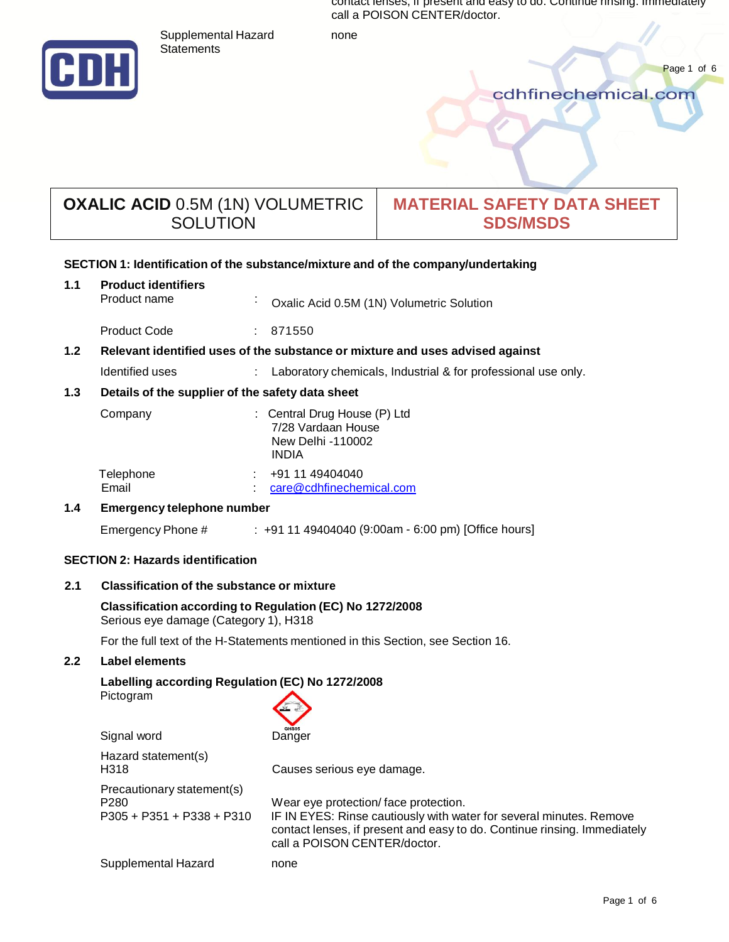contact lenses, if present and easy to do. Continue rinsing. Immediately call a POISON CENTER/doctor.

Supplemental Hazard none



Page 1 of 6<br>Cdhfinechemical.com

# **OXALIC ACID** 0.5M (1N) VOLUMETRIC **SOLUTION**

Statements

# **MATERIAL SAFETY DATA SHEET SDS/MSDS**

# **SECTION 1: Identification of the substance/mixtureand of the company/undertaking**

| 1.1                                      | <b>Product identifiers</b>                                                                        |           |                                                                                         |
|------------------------------------------|---------------------------------------------------------------------------------------------------|-----------|-----------------------------------------------------------------------------------------|
|                                          | Product name                                                                                      | $\bullet$ | Oxalic Acid 0.5M (1N) Volumetric Solution                                               |
|                                          | <b>Product Code</b>                                                                               |           | : 871550                                                                                |
| 1.2                                      | Relevant identified uses of the substance or mixture and uses advised against                     |           |                                                                                         |
|                                          | Identified uses                                                                                   |           | : Laboratory chemicals, Industrial & for professional use only.                         |
| 1.3                                      | Details of the supplier of the safety data sheet                                                  |           |                                                                                         |
|                                          | Company                                                                                           |           | : Central Drug House (P) Ltd<br>7/28 Vardaan House<br>New Delhi -110002<br><b>INDIA</b> |
|                                          | Telephone<br>Email                                                                                |           | $\div$ +91 11 49404040<br>care@cdhfinechemical.com                                      |
| 1.4                                      | <b>Emergency telephone number</b>                                                                 |           |                                                                                         |
|                                          | Emergency Phone #                                                                                 |           | $\pm$ +91 11 49404040 (9:00am - 6:00 pm) [Office hours]                                 |
| <b>SECTION 2: Hazards identification</b> |                                                                                                   |           |                                                                                         |
| 2.1                                      | <b>Classification of the substance or mixture</b>                                                 |           |                                                                                         |
|                                          | Classification according to Regulation (EC) No 1272/2008<br>Serious eye damage (Category 1), H318 |           |                                                                                         |

For the full text of the H-Statements mentioned in this Section, see Section 16.

# **2.2 Label elements**

# **Labelling according Regulation (EC) No 1272/2008**

Pictogram



| Signal word                                                                   | <b>GHSUS</b><br>Danger                                                                                                                                                                                                  |
|-------------------------------------------------------------------------------|-------------------------------------------------------------------------------------------------------------------------------------------------------------------------------------------------------------------------|
| Hazard statement(s)<br>H318                                                   | Causes serious eye damage.                                                                                                                                                                                              |
| Precautionary statement(s)<br>P <sub>280</sub><br>$P305 + P351 + P338 + P310$ | Wear eye protection/face protection.<br>IF IN EYES: Rinse cautiously with water for several minutes. Remove<br>contact lenses, if present and easy to do. Continue rinsing. Immediately<br>call a POISON CENTER/doctor. |
| Supplemental Hazard                                                           | none                                                                                                                                                                                                                    |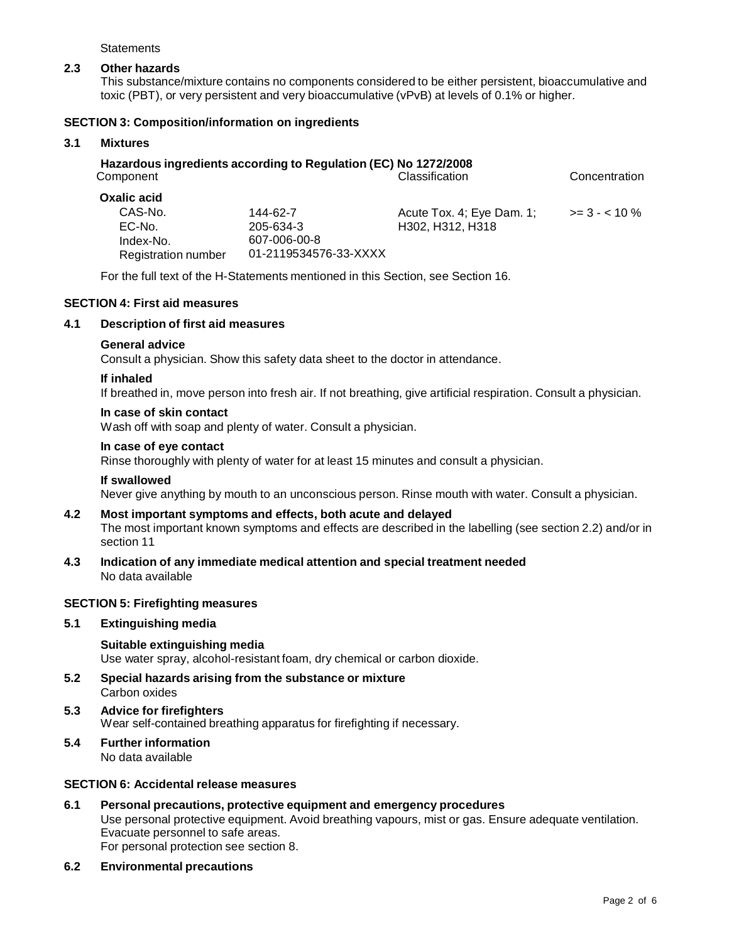**Statements** 

# **2.3 Other hazards**

This substance/mixture contains no components considered to be either persistent, bioaccumulative and toxic (PBT), or very persistent and very bioaccumulative(vPvB) at levels of 0.1% or higher.

# **SECTION 3: Composition/information on ingredients**

# **3.1 Mixtures**

| Component           | Hazardous ingredients according to Regulation (EC) No 1272/2008 | Classification            | Concentration |
|---------------------|-----------------------------------------------------------------|---------------------------|---------------|
| <b>Oxalic acid</b>  |                                                                 |                           |               |
| CAS-No.             | 144-62-7                                                        | Acute Tox. 4; Eye Dam. 1; | $>= 3 - 10\%$ |
| EC-No.              | 205-634-3                                                       | H302, H312, H318          |               |
| Index-No.           | 607-006-00-8                                                    |                           |               |
| Registration number | 01-2119534576-33-XXXX                                           |                           |               |

For the full text of the H-Statements mentioned in this Section, see Section 16.

# **SECTION 4: First aid measures**

#### **4.1 Description of first aid measures**

#### **General advice**

Consult a physician. Show this safety data sheet to the doctor in attendance.

#### **If inhaled**

If breathed in, move person into fresh air. If not breathing, give artificial respiration. Consult a physician.

#### **In case of skin contact**

Wash off with soap and plenty of water. Consult a physician.

# **In case of eye contact**

Rinse thoroughly with plenty of water for at least 15 minutes and consult a physician.

#### **If swallowed**

Never give anything by mouth to an unconscious person. Rinse mouth with water. Consult a physician.

# **4.2 Most important symptoms and effects, both acute and delayed** The most important known symptoms and effects are described in the labelling (see section 2.2) and/or in section 11

**4.3 Indication of any immediate medical attention and special treatment needed** No data available

# **SECTION 5: Firefighting measures**

# **5.1 Extinguishing media**

**Suitable extinguishing media** Use water spray, alcohol-resistant foam, dry chemical or carbon dioxide.

- **5.2 Special hazards arising from the substance or mixture** Carbon oxides
- **5.3 Advice for firefighters** Wear self-contained breathing apparatus for firefighting if necessary.

# **5.4 Further information** No data available

# **SECTION 6: Accidental release measures**

- **6.1 Personal precautions, protective equipment and emergency procedures** Use personal protective equipment. Avoid breathing vapours, mist or gas. Ensure adequate ventilation. Evacuate personnel to safe areas. For personal protection see section 8.
- **6.2 Environmental precautions**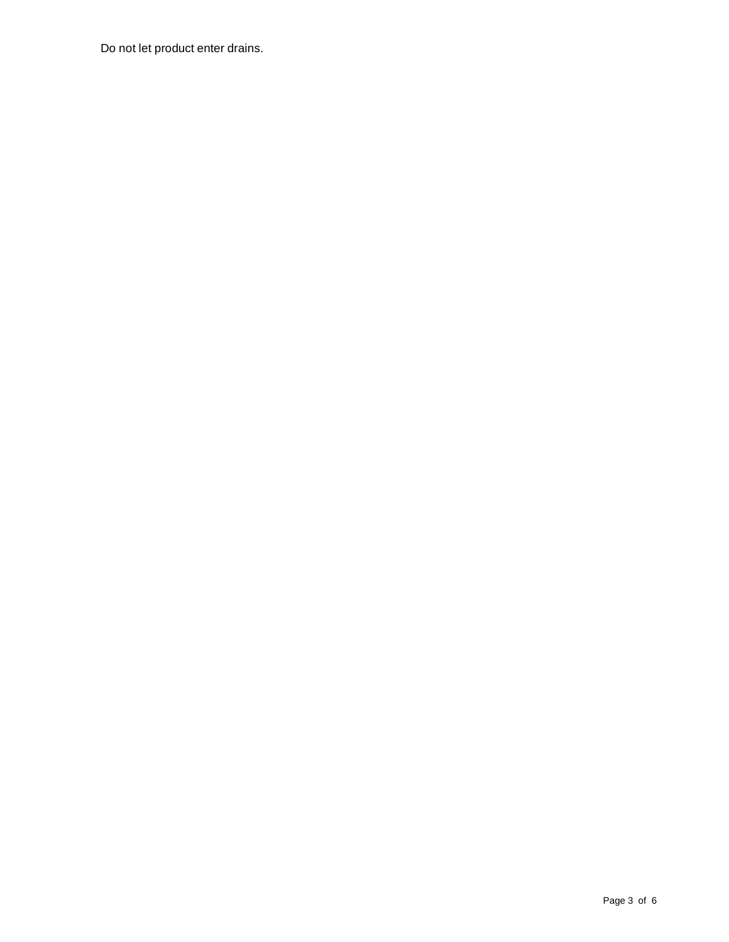Do not let product enter drains.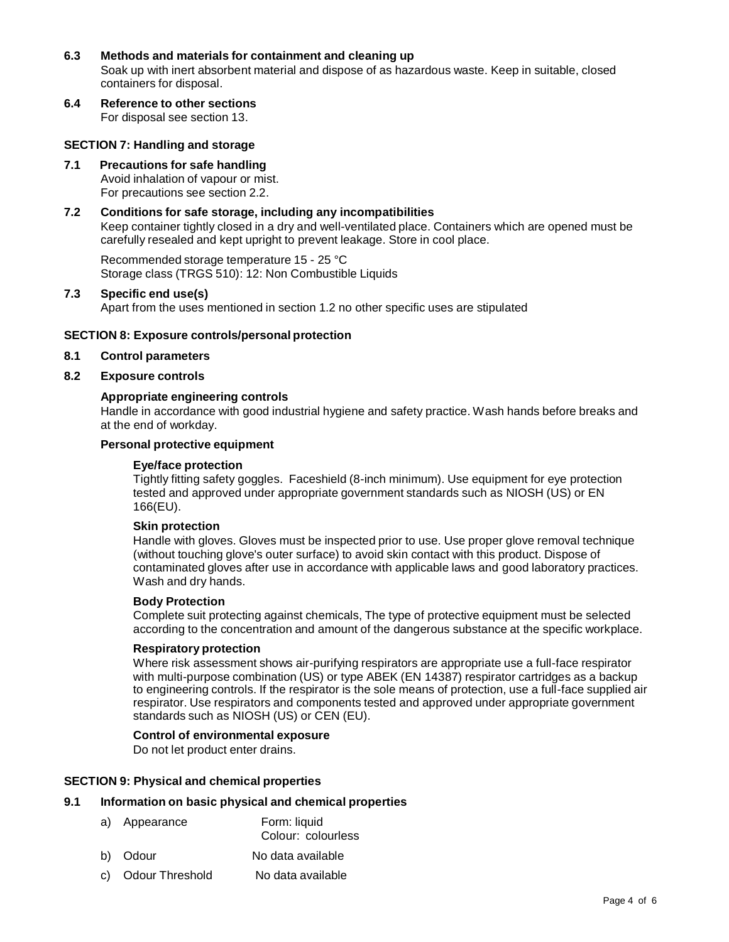# **6.3 Methods and materials for containment and cleaning up**

Soak up with inert absorbent material and dispose of as hazardous waste. Keep in suitable, closed containers for disposal.

**6.4 Reference to other sections**

For disposal see section 13.

#### **SECTION 7: Handling and storage**

# **7.1 Precautions for safe handling**

Avoid inhalation of vapour or mist. For precautions see section 2.2.

# **7.2 Conditions for safe storage, including any incompatibilities**

Keep container tightly closed in a dry and well-ventilated place. Containers which are opened must be carefully resealed and kept upright to prevent leakage. Store in cool place.

Recommended storage temperature 15 - 25 °C Storage class (TRGS 510): 12: Non Combustible Liquids

# **7.3 Specific end use(s)**

Apart from the uses mentioned in section 1.2 no other specific uses are stipulated

#### **SECTION 8: Exposure controls/personal protection**

# **8.1 Control parameters**

## **8.2 Exposure controls**

# **Appropriate engineering controls**

Handle in accordance with good industrial hygiene and safety practice. Wash hands before breaks and at the end of workday.

# **Personal protective equipment**

#### **Eye/face protection**

Tightly fitting safety goggles. Faceshield (8-inch minimum). Use equipment for eye protection tested and approved under appropriate government standards such as NIOSH (US) or EN 166(EU).

#### **Skin protection**

Handle with gloves. Gloves must be inspected prior to use. Use proper glove removal technique (without touching glove's outer surface) to avoid skin contact with this product. Dispose of contaminated gloves after use in accordance with applicable laws and good laboratory practices. Wash and dry hands.

#### **Body Protection**

Complete suit protecting against chemicals, The type of protective equipment must be selected according to the concentration and amount of the dangerous substance at the specific workplace.

#### **Respiratory protection**

Where risk assessment shows air-purifying respirators are appropriate use a full-face respirator with multi-purpose combination (US) or type ABEK (EN 14387) respirator cartridges as a backup to engineering controls. If the respirator is the sole means of protection, use a full-face supplied air respirator. Use respirators and components tested and approved under appropriate government standards such as NIOSH (US) or CEN (EU).

# **Control of environmental exposure**

Do not let product enter drains.

# **SECTION 9: Physical and chemical properties**

# **9.1 Information on basic physical and chemical properties**

- a) Appearance Form: liquid Colour: colourless
- b) Odour No data available
- c) Odour Threshold No data available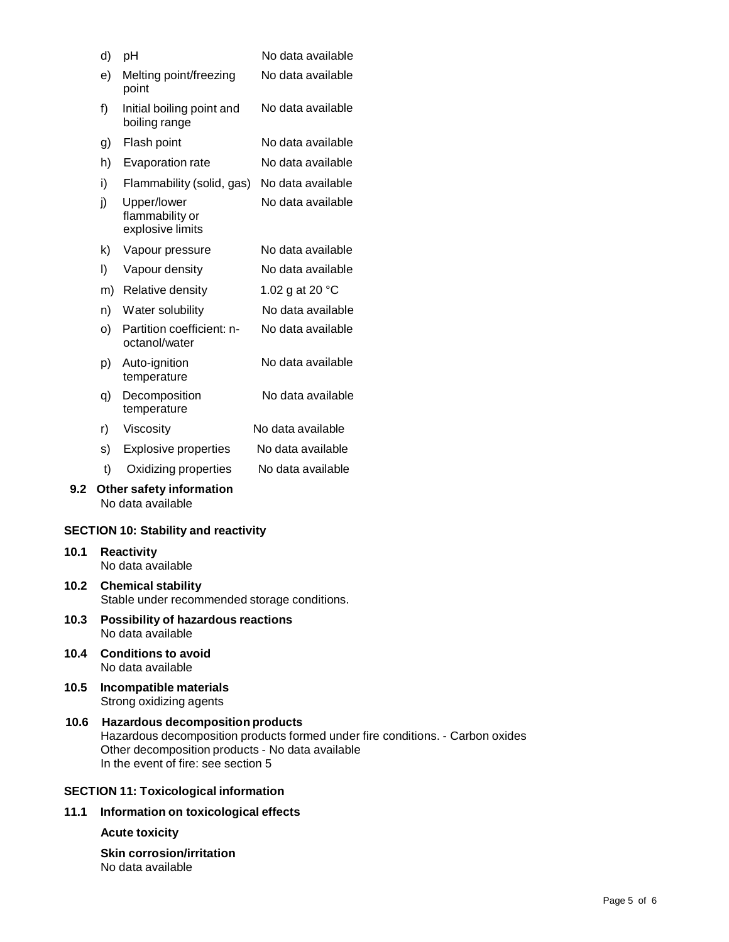|      |                                                                         | pH                                                             | No data available |  |
|------|-------------------------------------------------------------------------|----------------------------------------------------------------|-------------------|--|
|      | d)                                                                      |                                                                | No data available |  |
|      | e)                                                                      | Melting point/freezing<br>point                                |                   |  |
|      | f)                                                                      | Initial boiling point and<br>boiling range                     | No data available |  |
|      | Flash point<br>g)                                                       |                                                                | No data available |  |
|      | h)<br>Evaporation rate                                                  |                                                                | No data available |  |
|      | i)                                                                      | Flammability (solid, gas)                                      | No data available |  |
|      | j)                                                                      | Upper/lower<br>flammability or<br>explosive limits             | No data available |  |
|      | k)                                                                      | Vapour pressure                                                | No data available |  |
|      | I)                                                                      | Vapour density                                                 | No data available |  |
|      | m)                                                                      | Relative density                                               | 1.02 g at 20 °C   |  |
|      | n)                                                                      | Water solubility                                               | No data available |  |
|      | o)                                                                      | Partition coefficient: n-<br>octanol/water                     | No data available |  |
|      | p)                                                                      | Auto-ignition<br>temperature                                   | No data available |  |
|      | q)                                                                      | Decomposition<br>temperature                                   | No data available |  |
|      | r)                                                                      | Viscosity                                                      | No data available |  |
|      | s)                                                                      | <b>Explosive properties</b>                                    | No data available |  |
|      | t)                                                                      | Oxidizing properties                                           | No data available |  |
| 9.2  |                                                                         | Other safety information<br>No data available                  |                   |  |
|      |                                                                         | <b>SECTION 10: Stability and reactivity</b>                    |                   |  |
| 10.1 |                                                                         | <b>Reactivity</b><br>No data available                         |                   |  |
|      | 10.2 Chemical stability<br>Stable under recommended storage conditions. |                                                                |                   |  |
| 10.3 |                                                                         | <b>Possibility of hazardous reactions</b><br>No data available |                   |  |
| 10.4 |                                                                         | <b>Conditions to avoid</b><br>No data available                |                   |  |
| 10.5 |                                                                         | Incompatible materials<br>Strong oxidizing agents              |                   |  |
| 10.6 | <b>Hazardous decomposition products</b>                                 |                                                                |                   |  |

Hazardous decomposition products formed under fire conditions. - Carbon oxides Other decomposition products - No data available In the event of fire: see section 5

# **SECTION 11: Toxicological information**

**11.1 Information on toxicological effects**

# **Acute toxicity**

**Skin corrosion/irritation** No data available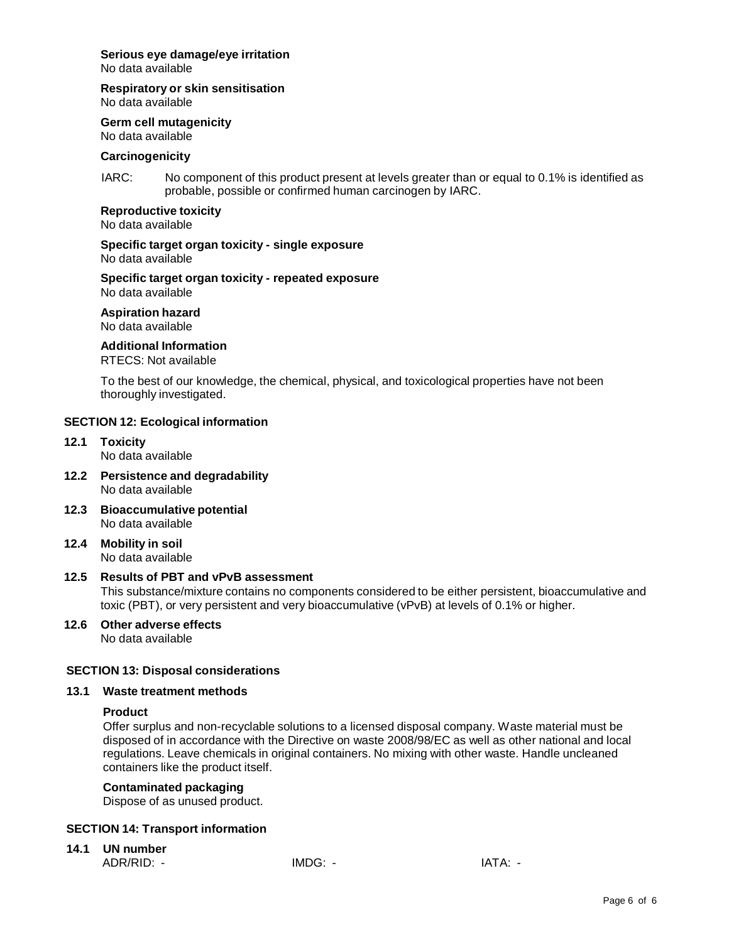# **Serious eye damage/eye irritation**

No data available

# **Respiratory or skin sensitisation**

No data available

**Germ cell mutagenicity**

No data available

## **Carcinogenicity**

IARC: No component of this product present at levels greater than or equal to 0.1% is identified as probable, possible or confirmed human carcinogen by IARC.

# **Reproductive toxicity**

No data available

#### **Specific target organ toxicity - single exposure** No data available

**Specific target organ toxicity - repeated exposure**

No data available

**Aspiration hazard** No data available

# **Additional Information**

RTECS: Not available

To the best of our knowledge, the chemical, physical, and toxicological properties have not been thoroughly investigated.

# **SECTION 12: Ecological information**

- **12.1 Toxicity** No data available
- **12.2 Persistence and degradability** No data available
- **12.3 Bioaccumulative potential** No data available
- **12.4 Mobility in soil** No data available

# **12.5 Results of PBT and vPvB assessment**

This substance/mixture contains no components considered to be either persistent, bioaccumulative and toxic (PBT), or very persistent and very bioaccumulative(vPvB) at levels of 0.1% or higher.

**12.6 Other adverse effects** No data available

# **SECTION 13: Disposal considerations**

# **13.1 Waste treatment methods**

# **Product**

Offer surplus and non-recyclable solutions to a licensed disposal company. Waste material must be disposed of in accordance with the Directive on waste 2008/98/EC as well as other national and local regulations. Leave chemicals in original containers. No mixing with other waste. Handle uncleaned containers like the product itself.

# **Contaminated packaging**

Dispose of as unused product.

# **SECTION 14: Transport information**

**14.1 UN number**

ADR/RID: - IMDG: - IMDG: - IATA: -